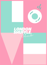

 $d_{\ell}$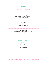## *MENU*

## *SPRING COCKTAILS*

— The (Pine)Apple of My Eye— El Jimador / Pineapple / Jalapeño / Coconut Fruity / Spicy / Tropical £10.50

> — Elderflower Coupe — Beefeater / Elderflower / Lime Floral / Fresh / Balanced £10

— The Copacabana — Havana Club / Pineapple / Apricot Liqueur / Lime Fresh / Fruity / Tropical £11

## *SHARER COCKTAILS Serves 4-6*

— Shoreditch Punch — Havana Especial / Pineapple Juice / Passion Fruit Exotic / Juicy / Bold £45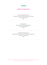

## *SPRITZ COCKTAILS*

— St-Germain Elderflower Spritz — St-Germain / Fever-Tree White Grape and Apricot Soda Long / Floral / Summery £9.50

> — Little Italy Spritz — Aperol / Fever-Tree Blood Orange Soda Fruity / Bitter / Balanced £9.50

— Italian Blood Orange Spritz — Malfy Italian Blood Orange / Fever-Tree Blood Orange Soda Zesty / Juicy / Refreshing £9.50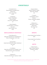## *COCKTAILS*

— Shoreditch Punch — Havana Especial / Pineapple Juice / Passion Fruit Exotic / Juicy / Bold £10.50

> — Shuffle Mule — Absolut / Ginger Beer / Fresh Cucumber Long / Cool / Lightly Spiced £9

— Classic Margarita — El Jimador Blanco / Cointreau / Lime juice / Zesty / Smooth / Sour £9.50

## *NON-ALCOHOLIC COCKTAILS*

— Cherry Blossom Fix — Ceders Non-Alcoholic Gin / Orange Blossom / Cherry / Pomegranate / Lime / Soda £7

— Spring Garden — Ceders Non-Alcoholic Gin / Apple / Elderflower / Lime / Mint £7

 $-$  It's a Breeze  $-$ Ceders Non-Alcoholic Gin / Pineapple / Lime / Passionfruit Syrup / Shot of Lemonade £7

— Espresso Fix — Ceders Non-Alcoholic Gin / Espresso / Vanilla £7

— Espresso Martini— Absolut / Espresso / Kahlúa Bold / Rich / Naughty £10

— The Spritz — Pink Beefeater / Aperol / Prosecco Summer / Refreshing / Bubbles £10

> — Whiskey Sour — Jack Daniel's / Lemon / Miracle foam Silky / Easy / Sour £10

#### *SPIRITS*

— House double & Fever-Tree Mixer — £9.50

— House single & Fever-Tree Mixer — £6

## *SOFTS*

— Variety of juices — Apple, Orange, Grapefruit, Pineapple, Cranberry £3

*A discretionary 12.5% service charge will be added to your bill. All spirits served as doubles unless requested. Vodka, Gin, Whiskey and Rum sold in multiples of 25ml.*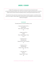# *BEER / CIDER*

In light of the ongoing crisis in Ukraine, we are proud to be serving Varvar beer – an award-winning beer brewed in Kyiv. With local customers unable to purchase stock, we want to support Varvar and the Ukrainian hospitality industry, and bring their fantastic beers to you.

Proceeds from their sale will go towards the purchase of medical supplies, so we'd like to thank you for your support. Please support the #DrinkersForUkraine campaign by using the hashtag on Twitter and Instagram.

## *VARVAR*

The below beers are served as bottles or cans.

— Samurai's Daughter (4.7%) — (Oriental Ale) Fresh / Spicy / Crisp / Ginger £6

— Hoppy Lager (5%) — (Lager) Fresh / Malty / Hoppy / Citrus £6.75

 $-$  Ipanema (5.3%)  $-$ (India Pale Ale) Tropical Fruits / Citrus / Peaches £7

— Testdrive (5.6%) — (India Pale Ale) Herbal / Citrus / Light / Dry £7

 $-$  Two Sides (5%) $-$ (Pilsner) Hoppy / Citrus / Floral £6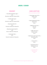## *BEER / CIDER*

## *DRAUGHT*

— House Beer, Budweiser Lager — 4.5% Pint £5.60 / Half £3.05 / Pitcher £20.40

— Camden Hells Lager — 4.6% Pint £6.20 / Half £3.30 / Pitcher £23.50

— Beavertown Neck Oil — 4.3% Pint £6.50 / Half £3.60 / Pitcher £25

— Beavertown Gamma Ray PA— 5.4% Pint £7 / Half £4.30 / Pitcher £27

— Crafty Apple Cider — 4.5% Pint £5.70 / Half £3.10 / Pitcher £21

## *CANS & BOTTLES*

*All cans and bottles are 330ml.* 

— Thornbridge Lukas (4.2%) — (Helles Lager) £5.30

 — Gypsy Hill Bandit PA (3.8%) — (Gluten Free) £5.50

 — BSB Electric Eye (5%) — (Pale Ale) £5.50

 — JUBEL Peach (4%) — (Session Lager) £5.30

 — Beavertown Lazer Crush (0.3%) — (Alcohol free IPA) £3.90

> — Corona (4.5%) — £5.20

 $-$  Kopparberg (4.0%)  $-$ Strawberry & Lime £5.20

— Lucky Saint (0%) — (Alcohol free) £3.90

*A discretionary 12.5% service charge will be added to your bill.*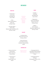## *WINES*

### *WHITE*

— Fernão Pires — Cintila White (Portugal) 12% £6 gl / £24btl

 $-$  Grillo  $-$ Vitese Colomba Bianca (Italy) 13% £7.25 gl / £29 btl

— Sauvignon Blanc — Roman's Bay (Western Cape, South Africa) 12% £8.50 gl / £34 Btl

*All wine by the glass served in 175ml measures. 125ml are available.*

#### *RED*

— Castelão — Cintila Red (Portugal)12.8% £6 gl / £24 btl

— Negroamaro — 'Il Pumo' San Marzano (Puglia, Italy) 13.5% £7.25 gl / £29 btl

— Malbec — '1300' Andeluna (Mendoza, Argentina) 14% £8.50 gl / £34 btl

## *ROSÉ*

— Les Boules Rosé— (Pays d'Oc France) 12% £6.25 gl / £25 btl

 -Cotes de Provance-Cuvee Marie Christine (Provence, France) 12.50% £38 btl

### *BUBBLES*

— Prosecco Extra Dry— Canal Grando (Veneto, Italy) 11% £ 6 gl / £30 btl

— Rosé Prosecco— **Sacchetto** (Veneto, Italy) 11.5% £39 btl

*Glasses served in 125ml measures.*

— Champagne Brut NV — 'Carte Blanche' Bernard Remy (Champagne, France), 12%, £55 btl

— Champagne Brut NV — Pol Roger (Champagne, France), 12.5%, £75 btl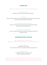

*Something tasty to kickstart your meal, or to snack on whilst you shuffle away!*

## — Nocarella Olives (V) £4 —

*Marinaded in lemon and orange zest brine for extra flavour.* 

— Tagliere £15 —

*Perfect for sharing, kickstart the party with our tagliere of pepperoni, bresaola and Parma ham served with goats cheese dip and house focaccia.*

#### — Mozzarella and Black Garlic Bread (V) £7.50 —

*Garlic lovers, assemble! Our signature sourdough base topped with melting mozzarella and homemade black garlic.* 

— Sourdough Sticks and Dips (V) £7.50 —

*Tuck into our crispy sourdough sticks, served with creamy goats cheese & fiery Nduja hummus dips.*

## *SOURDOUGH PIZZA*

*Delicious sourdough pizzas, freshly made to order. Need to customise? You can swap to a gluten-free base (+£2) or vegan mozzarella (+£1).*

#### — Marinara (VG) £7.50 —

Tomato Base - Basil - Oregano *Our sourdough is made fresh in-house daily, so let simplicity speak for itself.*

#### — Margherita (V) £8.50 —

Tomato Base - Mozzarella - Parmesan – Basil *A die hard classic that's hard to beat.*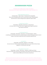# *SOURDOUGH PIZZA*

*A selection of our shuffle specials or take on the classics. Remember you can swap to a gluten-free base (+£2) or vegan mozzarella (+£1).*

#### — Vegan Wonderland (VG) £12 —

Aubergine Base - Vegan Cheese - Roasted Summer Vegetables *Take a trip to the Mediterranean with this colourful little number. Roasted peppers harmonise with a creamy aubergine base, topped with vegan cheese.* 

#### — Funghi Town (V) £9.50 —

Tomato Base - Mozzarella - Mushrooms - Spring Onions *Let's take it down to Funghi Town with this veggie banger, topped to perfection with chestnut mushrooms.*

#### — I'm A Rocket Ham £12 —

Tomato Base - Mozzarella - Parma Ham - Sun-dried Tomatoes – Rocket *A shuffle special. Soft Parma ham and sun-dried tomatoes, crowned with peppery rocket for that hit of green. If you'd like to swap Parma ham for bresaola, please just ask!*

### $-$  Hot Stuff  $f10-$

Tomato Base - Mozzarella - Pepperoni - Fresh Chillies *Hot, but not too hot. Perfectly melted mozzarella balances out a zip of fresh chilli and meaty pepperoni. An old favourite, done right.*

#### — I Should Be So Clucky £10 —

Tomato Base - Chicken - Red Onions - Sweetcorn - BBQ Sauce Drizzle *One for the chicken lovers. Red onions and sweetcorn add a little crunch and sweetness. We've added a drizzle of BBQ sauce for that extra smoky flavour.*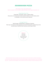# *SOURDOUGH PIZZA*

*More doughy, crispy, cheesy deliciousness. Need to customise? You can swap to a gluten-free base (+£2) or vegan mozzarella (+£1).*

— 'Nduja Wanna Funk? £12 —

Tomato Base - Mozzarella - Burrata - Calabrian 'Nduja *Flavoursome, rich and spicy with creamy burrata for balance. For extra intensity, ask for no mozzarella - trust us when we say it's delicious.*

#### — Sausage Freak £12 —

Italian Sausage - Roasted Potato - Gorgonzola - Rosemary *Take crispy roast potato and salty gorgonzola, top that with herby Italian sausage and you have yourself a party. A sprinkle of fresh rosemary rounds things off nicely.*

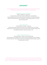

*Fancy something sweet? Trust us when we say these beauties are not to be missed. Nutella, cinnamon and strawberries take centre stage in our tempting desserts.*

— Nutella Pizza Large or Small £7/£11.50 —

Nutella - Strawberries - Sourdough *So good we almost don't want to share. Nutella tops our sourdough base before being baked until soft yet a little caramelised. Sprinkle over some fresh strawberries and you have yourself a winner. Our small serves 1-2 whilst large is good for 4-6 - but you may be ordering another...*

#### — Sweet Calzone £6.50 —

Cinnamon Butter or Nutella - Sourdough *There are some things in life that are just right, and our Sweet Calzone is one of them. Made with our house sourdough, your choice of cinnamon butter or Nutella is baked inside until melting and delicious. Perfect for sharing (or not).* 

#### — Sweet Sourdough Dippers £5.50 —

Sourdough Dippers - Nutella or Cinnamon Butter Dip *Individual portions of sourdough sticks, great for dunking and dipping into either a Nutella or cinnamon butter dip. Think doughy, crispy, sweet and something to get those sugars up after a fast-paced game of shuffle!*